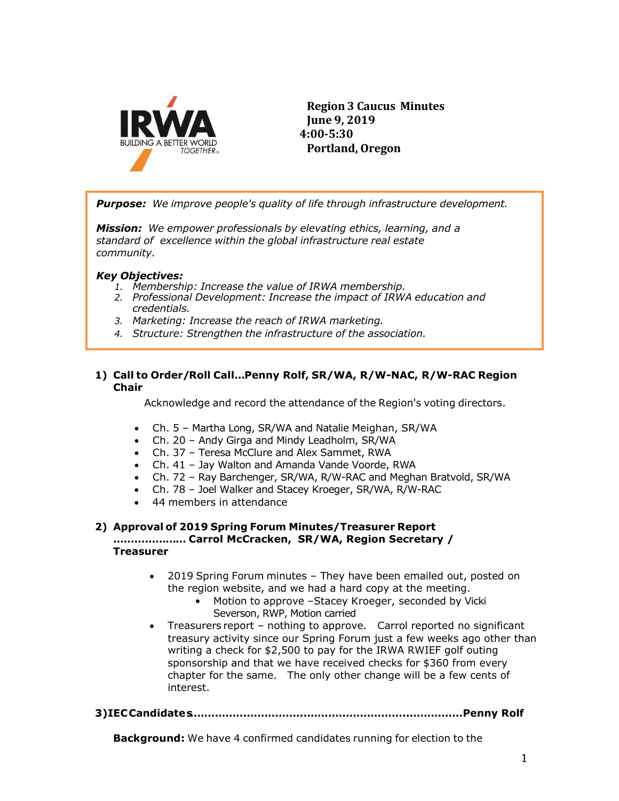

**Region 3 Caucus Minutes June 9, 2019 4:00-5:30 Portland, Oregon**

*Purpose: We improve people's quality of life through infrastructure development.*

*Mission: We empower professionals by elevating ethics, learning, and a standard of excellence within the global infrastructure real estate community.*

# *Key Objectives:*

- *1. Membership: Increase the value of IRWA membership.*
- *2. Professional Development: Increase the impact of IRWA education and credentials.*
- *3. Marketing: Increase the reach of IRWA marketing.*
- *4. Structure: Strengthen the infrastructure of the association.*

# **1) Call to Order/Roll Call…Penny Rolf, SR/WA, R/W-NAC, R/W-RAC Region Chair**

Acknowledge and record the attendance of the Region's voting directors.

- Ch. 5 Martha Long, SR/WA and Natalie Meighan, SR/WA
- Ch. 20 Andy Girga and Mindy Leadholm, SR/WA
- Ch. 37 Teresa McClure and Alex Sammet, RWA
- Ch. 41 Jay Walton and Amanda Vande Voorde, RWA
- Ch. 72 Ray Barchenger, SR/WA, R/W-RAC and Meghan Bratvold, SR/WA
- Ch. 78 Joel Walker and Stacey Kroeger, SR/WA, R/W-RAC
- 44 members in attendance

#### **2) Approval of 2019 Spring Forum Minutes/Treasurer Report ………………… Carrol McCracken, SR/WA, Region Secretary / Treasurer**

- 2019 Spring Forum minutes They have been emailed out, posted on the region website, and we had a hard copy at the meeting.
	- Motion to approve -Stacey Kroeger, seconded by Vicki Severson, RWP, Motion carried
- Treasurers report nothing to approve. Carrol reported no significant treasury activity since our Spring Forum just a few weeks ago other than writing a check for \$2,500 to pay for the IRWA RWIEF golf outing sponsorship and that we have received checks for \$360 from every chapter for the same. The only other change will be a few cents of interest.

## **3)IECCandidates…………….……………..………………………..……………Penny Rolf**

**Background:** We have 4 confirmed candidates running for election to the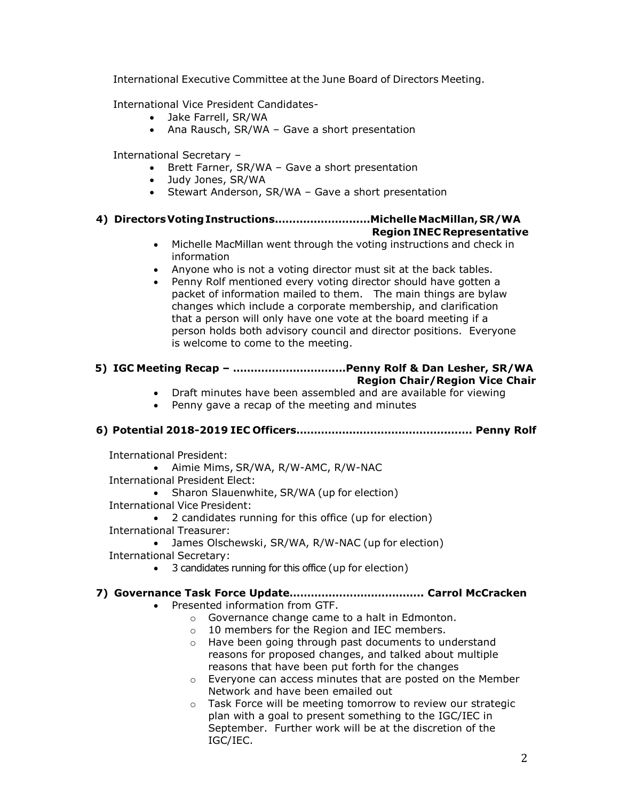International Executive Committee at the June Board of Directors Meeting.

International Vice President Candidates-

- Jake Farrell, SR/WA
- Ana Rausch, SR/WA Gave a short presentation

International Secretary –

- Brett Farner, SR/WA Gave a short presentation
- Judy Jones, SR/WA
- Stewart Anderson, SR/WA Gave a short presentation

# **4) DirectorsVotingInstructions………………………Michelle MacMillan,SR/WA**

## **Region INEC Representative**

- Michelle MacMillan went through the voting instructions and check in information
- Anyone who is not a voting director must sit at the back tables.
- Penny Rolf mentioned every voting director should have gotten a packet of information mailed to them. The main things are bylaw changes which include a corporate membership, and clarification that a person will only have one vote at the board meeting if a person holds both advisory council and director positions. Everyone is welcome to come to the meeting.

#### **5) IGC Meeting Recap – ………………….…….…Penny Rolf & Dan Lesher, SR/WA Region Chair/Region Vice Chair**

- Draft minutes have been assembled and are available for viewing
- Penny gave a recap of the meeting and minutes

# **6) Potential 2018-2019 IEC Officers…………………………………….……. Penny Rolf**

International President:

• Aimie Mims, SR/WA, R/W-AMC, R/W-NAC

International President Elect:

- Sharon Slauenwhite, SR/WA (up for election)
- International Vice President:
- 2 candidates running for this office (up for election) International Treasurer:
	- James Olschewski, SR/WA, R/W-NAC (up for election)
- International Secretary:
	- 3 candidates running for this office (up for election)

## **7) Governance Task Force Update……………………………….. Carrol McCracken**

- Presented information from GTF.
	- o Governance change came to a halt in Edmonton.
	- o 10 members for the Region and IEC members.
	- o Have been going through past documents to understand reasons for proposed changes, and talked about multiple reasons that have been put forth for the changes
	- o Everyone can access minutes that are posted on the Member Network and have been emailed out
	- o Task Force will be meeting tomorrow to review our strategic plan with a goal to present something to the IGC/IEC in September. Further work will be at the discretion of the IGC/IEC.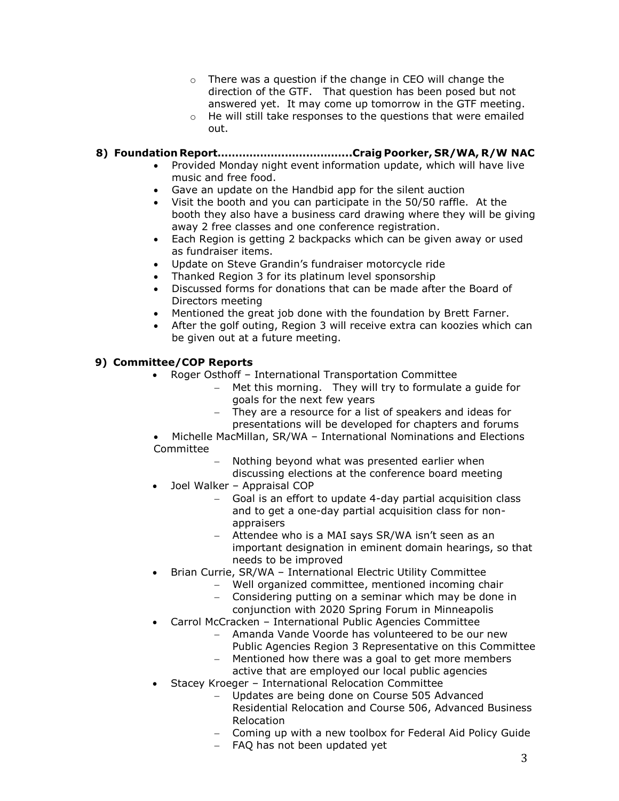- o There was a question if the change in CEO will change the direction of the GTF. That question has been posed but not answered yet. It may come up tomorrow in the GTF meeting.
- o He will still take responses to the questions that were emailed out.

# **8) Foundation Report……………….…….………...Craig Poorker, SR/WA, R/W NAC**

- Provided Monday night event information update, which will have live music and free food.
- Gave an update on the Handbid app for the silent auction
- Visit the booth and you can participate in the 50/50 raffle. At the booth they also have a business card drawing where they will be giving away 2 free classes and one conference registration.
- Each Region is getting 2 backpacks which can be given away or used as fundraiser items.
- Update on Steve Grandin's fundraiser motorcycle ride
- Thanked Region 3 for its platinum level sponsorship
- Discussed forms for donations that can be made after the Board of Directors meeting
- Mentioned the great job done with the foundation by Brett Farner.
- After the golf outing, Region 3 will receive extra can koozies which can be given out at a future meeting.

# **9) Committee/COP Reports**

- Roger Osthoff International Transportation Committee
	- − Met this morning. They will try to formulate a guide for goals for the next few years
	- They are a resource for a list of speakers and ideas for presentations will be developed for chapters and forums
- Michelle MacMillan, SR/WA International Nominations and Elections Committee
	- − Nothing beyond what was presented earlier when discussing elections at the conference board meeting
- Joel Walker Appraisal COP
	- − Goal is an effort to update 4-day partial acquisition class and to get a one-day partial acquisition class for nonappraisers
	- − Attendee who is a MAI says SR/WA isn't seen as an important designation in eminent domain hearings, so that needs to be improved
- Brian Currie, SR/WA International Electric Utility Committee
	- − Well organized committee, mentioned incoming chair
	- − Considering putting on a seminar which may be done in
	- conjunction with 2020 Spring Forum in Minneapolis • Carrol McCracken – International Public Agencies Committee
		- − Amanda Vande Voorde has volunteered to be our new
			- Public Agencies Region 3 Representative on this Committee − Mentioned how there was a goal to get more members
		- active that are employed our local public agencies
- Stacey Kroeger International Relocation Committee
	- − Updates are being done on Course 505 Advanced Residential Relocation and Course 506, Advanced Business Relocation
	- − Coming up with a new toolbox for Federal Aid Policy Guide
	- − FAQ has not been updated yet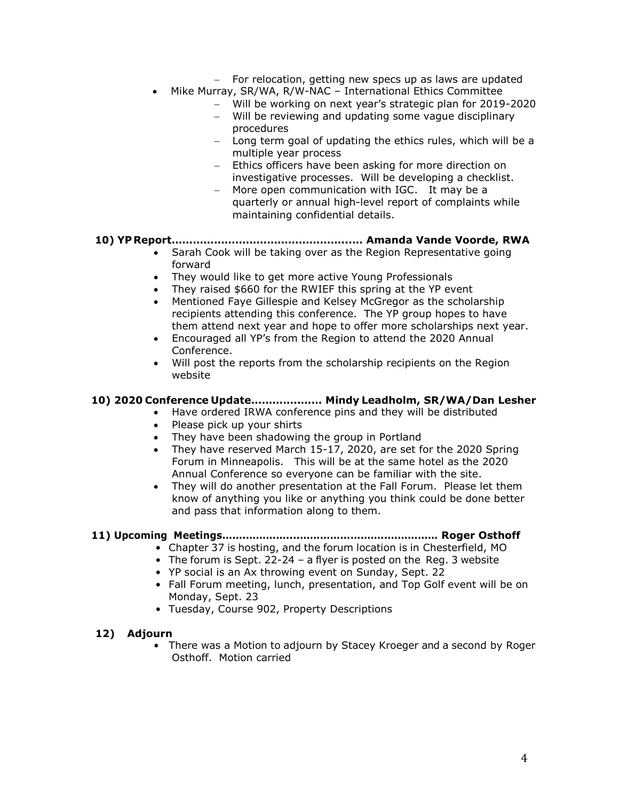- − For relocation, getting new specs up as laws are updated
- Mike Murray, SR/WA, R/W-NAC International Ethics Committee
	- − Will be working on next year's strategic plan for 2019-2020
	- − Will be reviewing and updating some vague disciplinary procedures
	- − Long term goal of updating the ethics rules, which will be a multiple year process
	- − Ethics officers have been asking for more direction on investigative processes. Will be developing a checklist.
	- − More open communication with IGC. It may be a quarterly or annual high-level report of complaints while maintaining confidential details.

#### **10) YPReport…………………………………………...… Amanda Vande Voorde, RWA**

- Sarah Cook will be taking over as the Region Representative going forward
- They would like to get more active Young Professionals
- They raised \$660 for the RWIEF this spring at the YP event
- Mentioned Faye Gillespie and Kelsey McGregor as the scholarship recipients attending this conference. The YP group hopes to have them attend next year and hope to offer more scholarships next year.
- Encouraged all YP's from the Region to attend the 2020 Annual Conference.
- Will post the reports from the scholarship recipients on the Region website

#### **10) 2020 Conference Update…………..…… Mindy Leadholm, SR/WA/Dan Lesher**

- Have ordered IRWA conference pins and they will be distributed
	- Please pick up your shirts
	- They have been shadowing the group in Portland
	- They have reserved March 15-17, 2020, are set for the 2020 Spring Forum in Minneapolis. This will be at the same hotel as the 2020 Annual Conference so everyone can be familiar with the site.
	- They will do another presentation at the Fall Forum. Please let them know of anything you like or anything you think could be done better and pass that information along to them.

## **11) Upcoming Meetings…….…………....……………………..…………… Roger Osthoff**

- Chapter 37 is hosting, and the forum location is in Chesterfield, MO
- The forum is Sept. 22-24 a flyer is posted on the Reg. 3 website
- YP social is an Ax throwing event on Sunday, Sept. 22
- Fall Forum meeting, lunch, presentation, and Top Golf event will be on Monday, Sept. 23
- Tuesday, Course 902, Property Descriptions

#### **12) Adjourn**

• There was a Motion to adjourn by Stacey Kroeger and a second by Roger Osthoff. Motion carried